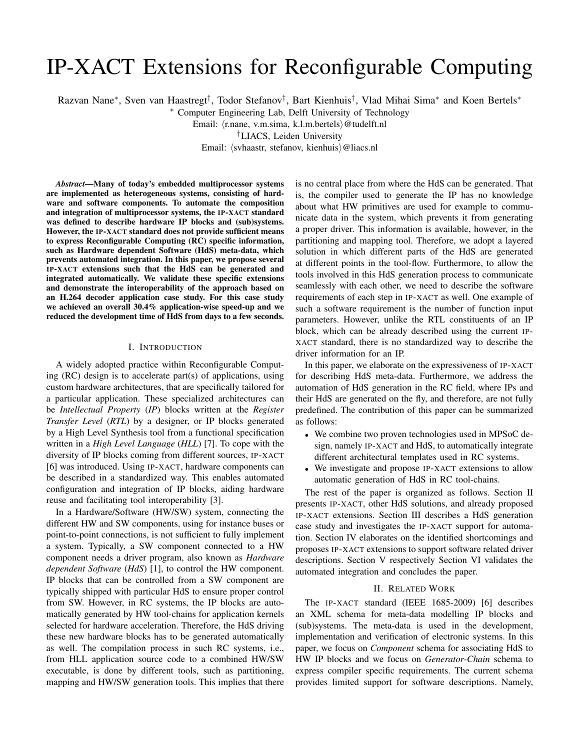# IP-XACT Extensions for Reconfigurable Computing

Razvan Nane\*, Sven van Haastregt<sup>†</sup>, Todor Stefanov<sup>†</sup>, Bart Kienhuis<sup>†</sup>, Vlad Mihai Sima\* and Koen Bertels\*

<sup>∗</sup> Computer Engineering Lab, Delft University of Technology

Email: (r.nane, v.m.sima, k.l.m.bertels) @tudelft.nl

†LIACS, Leiden University

Email: (svhaastr, stefanov, kienhuis)@liacs.nl

*Abstract*—Many of today's embedded multiprocessor systems are implemented as heterogeneous systems, consisting of hardware and software components. To automate the composition and integration of multiprocessor systems, the IP-XACT standard was defined to describe hardware IP blocks and (sub)systems. However, the IP-XACT standard does not provide sufficient means to express Reconfigurable Computing (RC) specific information, such as Hardware dependent Software (HdS) meta-data, which prevents automated integration. In this paper, we propose several IP-XACT extensions such that the HdS can be generated and integrated automatically. We validate these specific extensions and demonstrate the interoperability of the approach based on an H.264 decoder application case study. For this case study we achieved an overall 30.4% application-wise speed-up and we reduced the development time of HdS from days to a few seconds.

#### I. INTRODUCTION

A widely adopted practice within Reconfigurable Computing (RC) design is to accelerate part(s) of applications, using custom hardware architectures, that are specifically tailored for a particular application. These specialized architectures can be *Intellectual Property* (*IP*) blocks written at the *Register Transfer Level* (*RTL*) by a designer, or IP blocks generated by a High Level Synthesis tool from a functional specification written in a *High Level Language* (*HLL*) [7]. To cope with the diversity of IP blocks coming from different sources, IP-XACT [6] was introduced. Using IP-XACT, hardware components can be described in a standardized way. This enables automated configuration and integration of IP blocks, aiding hardware reuse and facilitating tool interoperability [3].

In a Hardware/Software (HW/SW) system, connecting the different HW and SW components, using for instance buses or point-to-point connections, is not sufficient to fully implement a system. Typically, a SW component connected to a HW component needs a driver program, also known as *Hardware dependent Software* (*HdS*) [1], to control the HW component. IP blocks that can be controlled from a SW component are typically shipped with particular HdS to ensure proper control from SW. However, in RC systems, the IP blocks are automatically generated by HW tool-chains for application kernels selected for hardware acceleration. Therefore, the HdS driving these new hardware blocks has to be generated automatically as well. The compilation process in such RC systems, i.e., from HLL application source code to a combined HW/SW executable, is done by different tools, such as partitioning, mapping and HW/SW generation tools. This implies that there is no central place from where the HdS can be generated. That is, the compiler used to generate the IP has no knowledge about what HW primitives are used for example to communicate data in the system, which prevents it from generating a proper driver. This information is available, however, in the partitioning and mapping tool. Therefore, we adopt a layered solution in which different parts of the HdS are generated at different points in the tool-flow. Furthermore, to allow the tools involved in this HdS generation process to communicate seamlessly with each other, we need to describe the software requirements of each step in IP-XACT as well. One example of such a software requirement is the number of function input parameters. However, unlike the RTL constituents of an IP block, which can be already described using the current IP-XACT standard, there is no standardized way to describe the driver information for an IP.

In this paper, we elaborate on the expressiveness of IP-XACT for describing HdS meta-data. Furthermore, we address the automation of HdS generation in the RC field, where IPs and their HdS are generated on the fly, and therefore, are not fully predefined. The contribution of this paper can be summarized as follows:

- We combine two proven technologies used in MPSoC design, namely IP-XACT and HdS, to automatically integrate different architectural templates used in RC systems.
- We investigate and propose IP-XACT extensions to allow automatic generation of HdS in RC tool-chains.

The rest of the paper is organized as follows. Section II presents IP-XACT, other HdS solutions, and already proposed IP-XACT extensions. Section III describes a HdS generation case study and investigates the IP-XACT support for automation. Section IV elaborates on the identified shortcomings and proposes IP-XACT extensions to support software related driver descriptions. Section V respectively Section VI validates the automated integration and concludes the paper.

## II. RELATED WORK

The IP-XACT standard (IEEE 1685-2009) [6] describes an XML schema for meta-data modelling IP blocks and (sub)systems. The meta-data is used in the development, implementation and verification of electronic systems. In this paper, we focus on *Component* schema for associating HdS to HW IP blocks and we focus on *Generator-Chain* schema to express compiler specific requirements. The current schema provides limited support for software descriptions. Namely,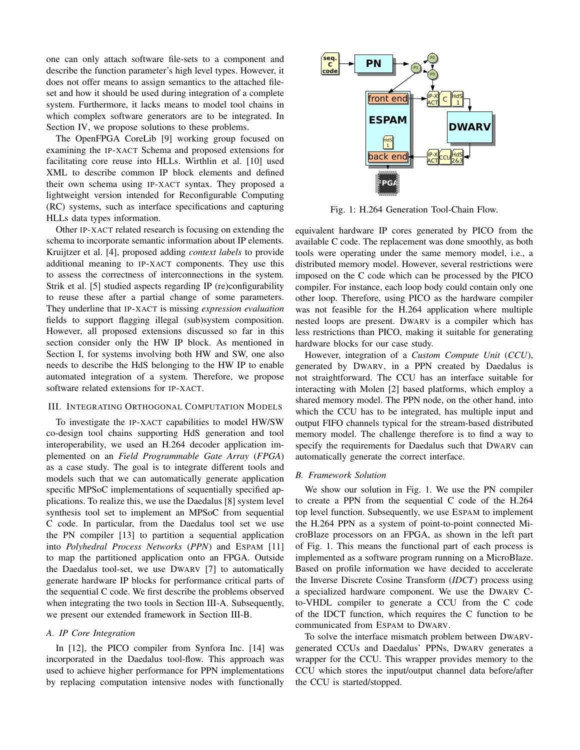one can only attach software file-sets to a component and describe the function parameter's high level types. However, it does not offer means to assign semantics to the attached fileset and how it should be used during integration of a complete system. Furthermore, it lacks means to model tool chains in which complex software generators are to be integrated. In Section IV, we propose solutions to these problems.

The OpenFPGA CoreLib [9] working group focused on examining the IP-XACT Schema and proposed extensions for facilitating core reuse into HLLs. Wirthlin et al. [10] used XML to describe common IP block elements and defined their own schema using IP-XACT syntax. They proposed a lightweight version intended for Reconfigurable Computing (RC) systems, such as interface specifications and capturing HLLs data types information.

Other IP-XACT related research is focusing on extending the schema to incorporate semantic information about IP elements. Kruijtzer et al. [4], proposed adding *context labels* to provide additional meaning to IP-XACT components. They use this to assess the correctness of interconnections in the system. Strik et al. [5] studied aspects regarding IP (re)configurability to reuse these after a partial change of some parameters. They underline that IP-XACT is missing *expression evaluation* fields to support flagging illegal (sub)system composition. However, all proposed extensions discussed so far in this section consider only the HW IP block. As mentioned in Section I, for systems involving both HW and SW, one also needs to describe the HdS belonging to the HW IP to enable automated integration of a system. Therefore, we propose software related extensions for IP-XACT.

## III. INTEGRATING ORTHOGONAL COMPUTATION MODELS

To investigate the IP-XACT capabilities to model HW/SW co-design tool chains supporting HdS generation and tool interoperability, we used an H.264 decoder application implemented on an *Field Programmable Gate Array* (*FPGA*) as a case study. The goal is to integrate different tools and models such that we can automatically generate application specific MPSoC implementations of sequentially specified applications. To realize this, we use the Daedalus [8] system level synthesis tool set to implement an MPSoC from sequential C code. In particular, from the Daedalus tool set we use the PN compiler [13] to partition a sequential application into *Polyhedral Process Networks* (*PPN*) and ESPAM [11] to map the partitioned application onto an FPGA. Outside the Daedalus tool-set, we use DWARV [7] to automatically generate hardware IP blocks for performance critical parts of the sequential C code. We first describe the problems observed when integrating the two tools in Section III-A. Subsequently, we present our extended framework in Section III-B.

## *A. IP Core Integration*

In [12], the PICO compiler from Synfora Inc. [14] was incorporated in the Daedalus tool-flow. This approach was used to achieve higher performance for PPN implementations by replacing computation intensive nodes with functionally



Fig. 1: H.264 Generation Tool-Chain Flow.

equivalent hardware IP cores generated by PICO from the available C code. The replacement was done smoothly, as both tools were operating under the same memory model, i.e., a distributed memory model. However, several restrictions were imposed on the C code which can be processed by the PICO compiler. For instance, each loop body could contain only one other loop. Therefore, using PICO as the hardware compiler was not feasible for the H.264 application where multiple nested loops are present. DWARV is a compiler which has less restrictions than PICO, making it suitable for generating hardware blocks for our case study.

However, integration of a *Custom Compute Unit* (*CCU*), generated by DWARV, in a PPN created by Daedalus is not straightforward. The CCU has an interface suitable for interacting with Molen [2] based platforms, which employ a shared memory model. The PPN node, on the other hand, into which the CCU has to be integrated, has multiple input and output FIFO channels typical for the stream-based distributed memory model. The challenge therefore is to find a way to specify the requirements for Daedalus such that DWARV can automatically generate the correct interface.

## *B. Framework Solution*

We show our solution in Fig. 1. We use the PN compiler to create a PPN from the sequential C code of the H.264 top level function. Subsequently, we use ESPAM to implement the H.264 PPN as a system of point-to-point connected MicroBlaze processors on an FPGA, as shown in the left part of Fig. 1. This means the functional part of each process is implemented as a software program running on a MicroBlaze. Based on profile information we have decided to accelerate the Inverse Discrete Cosine Transform (*IDCT*) process using a specialized hardware component. We use the DWARV Cto-VHDL compiler to generate a CCU from the C code of the IDCT function, which requires the C function to be communicated from ESPAM to DWARV.

To solve the interface mismatch problem between DWARVgenerated CCUs and Daedalus' PPNs, DWARV generates a wrapper for the CCU. This wrapper provides memory to the CCU which stores the input/output channel data before/after the CCU is started/stopped.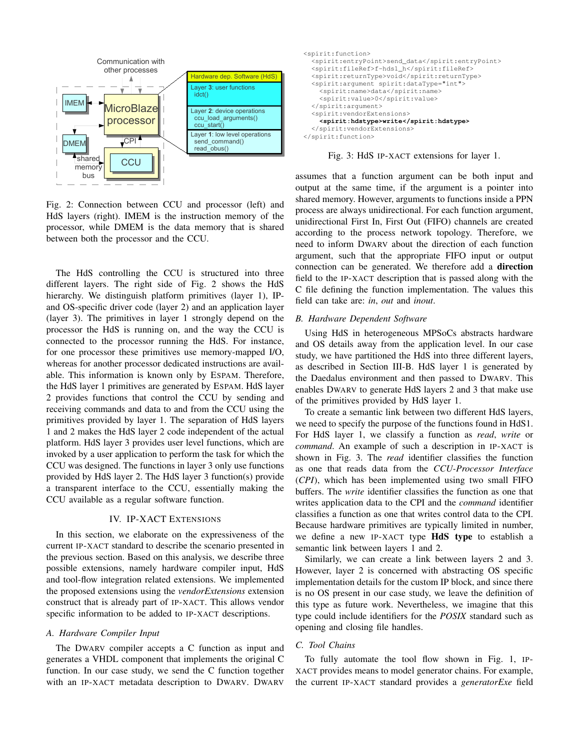

Fig. 2: Connection between CCU and processor (left) and HdS layers (right). IMEM is the instruction memory of the processor, while DMEM is the data memory that is shared between both the processor and the CCU.

The HdS controlling the CCU is structured into three different layers. The right side of Fig. 2 shows the HdS hierarchy. We distinguish platform primitives (layer 1), IPand OS-specific driver code (layer 2) and an application layer (layer 3). The primitives in layer 1 strongly depend on the processor the HdS is running on, and the way the CCU is connected to the processor running the HdS. For instance, for one processor these primitives use memory-mapped I/O, whereas for another processor dedicated instructions are available. This information is known only by ESPAM. Therefore, the HdS layer 1 primitives are generated by ESPAM. HdS layer 2 provides functions that control the CCU by sending and receiving commands and data to and from the CCU using the primitives provided by layer 1. The separation of HdS layers 1 and 2 makes the HdS layer 2 code independent of the actual platform. HdS layer 3 provides user level functions, which are invoked by a user application to perform the task for which the CCU was designed. The functions in layer 3 only use functions provided by HdS layer 2. The HdS layer 3 function(s) provide a transparent interface to the CCU, essentially making the CCU available as a regular software function.

#### IV. IP-XACT EXTENSIONS

In this section, we elaborate on the expressiveness of the current IP-XACT standard to describe the scenario presented in the previous section. Based on this analysis, we describe three possible extensions, namely hardware compiler input, HdS and tool-flow integration related extensions. We implemented the proposed extensions using the *vendorExtensions* extension construct that is already part of IP-XACT. This allows vendor specific information to be added to IP-XACT descriptions.

## *A. Hardware Compiler Input*

The DWARV compiler accepts a C function as input and generates a VHDL component that implements the original C function. In our case study, we send the C function together with an IP-XACT metadata description to DWARV. DWARV



Fig. 3: HdS IP-XACT extensions for layer 1.

assumes that a function argument can be both input and output at the same time, if the argument is a pointer into shared memory. However, arguments to functions inside a PPN process are always unidirectional. For each function argument, unidirectional First In, First Out (FIFO) channels are created according to the process network topology. Therefore, we need to inform DWARV about the direction of each function argument, such that the appropriate FIFO input or output connection can be generated. We therefore add a direction field to the IP-XACT description that is passed along with the C file defining the function implementation. The values this field can take are: *in*, *out* and *inout*.

#### *B. Hardware Dependent Software*

Using HdS in heterogeneous MPSoCs abstracts hardware and OS details away from the application level. In our case study, we have partitioned the HdS into three different layers, as described in Section III-B. HdS layer 1 is generated by the Daedalus environment and then passed to DWARV. This enables DWARV to generate HdS layers 2 and 3 that make use of the primitives provided by HdS layer 1.

To create a semantic link between two different HdS layers, we need to specify the purpose of the functions found in HdS1. For HdS layer 1, we classify a function as *read*, *write* or *command*. An example of such a description in IP-XACT is shown in Fig. 3. The *read* identifier classifies the function as one that reads data from the *CCU-Processor Interface* (*CPI*), which has been implemented using two small FIFO buffers. The *write* identifier classifies the function as one that writes application data to the CPI and the *command* identifier classifies a function as one that writes control data to the CPI. Because hardware primitives are typically limited in number, we define a new IP-XACT type HdS type to establish a semantic link between layers 1 and 2.

Similarly, we can create a link between layers 2 and 3. However, layer 2 is concerned with abstracting OS specific implementation details for the custom IP block, and since there is no OS present in our case study, we leave the definition of this type as future work. Nevertheless, we imagine that this type could include identifiers for the *POSIX* standard such as opening and closing file handles.

## *C. Tool Chains*

To fully automate the tool flow shown in Fig. 1, IP-XACT provides means to model generator chains. For example, the current IP-XACT standard provides a *generatorExe* field